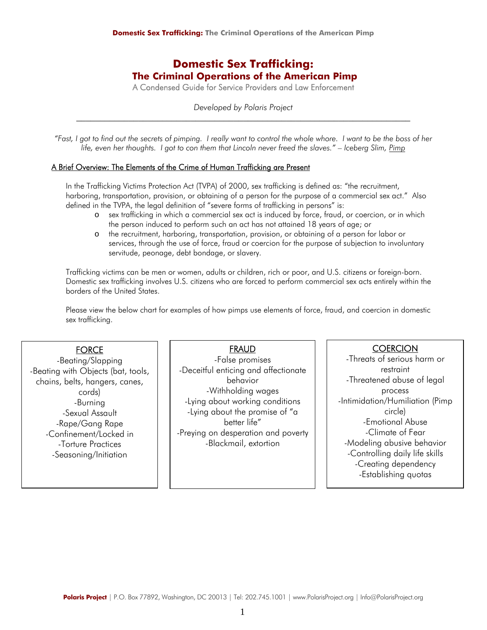# **Domestic Sex Trafficking: The Criminal Operations of the American Pimp**

A Condensed Guide for Service Providers and Law Enforcement

*Developed by Polaris Project*  \_\_\_\_\_\_\_\_\_\_\_\_\_\_\_\_\_\_\_\_\_\_\_\_\_\_\_\_\_\_\_\_\_\_\_\_\_\_\_\_\_\_\_\_\_\_\_\_\_\_\_\_\_\_\_\_\_\_\_\_\_\_\_\_\_\_\_\_\_\_

*"Fast, I got to find out the secrets of pimping. I really want to control the whole whore. I want to be the boss of her life, even her thoughts. I got to con them that Lincoln never freed the slaves." – Iceberg Slim, Pimp*

## A Brief Overview: The Elements of the Crime of Human Trafficking are Present

In the Trafficking Victims Protection Act (TVPA) of 2000, sex trafficking is defined as: "the recruitment, harboring, transportation, provision, or obtaining of a person for the purpose of a commercial sex act." Also defined in the TVPA, the legal definition of "severe forms of trafficking in persons" is:

- o sex trafficking in which a commercial sex act is induced by force, fraud, or coercion, or in which the person induced to perform such an act has not attained 18 years of age; or
- o the recruitment, harboring, transportation, provision, or obtaining of a person for labor or services, through the use of force, fraud or coercion for the purpose of subjection to involuntary servitude, peonage, debt bondage, or slavery.

Trafficking victims can be men or women, adults or children, rich or poor, and U.S. citizens or foreign-born. Domestic sex trafficking involves U.S. citizens who are forced to perform commercial sex acts entirely within the borders of the United States.

Please view the below chart for examples of how pimps use elements of force, fraud, and coercion in domestic sex trafficking.

# **FORCE**

 -Confinement/Locked in -Seasoning/Initiation -Beating/Slapping -Beating with Objects (bat, tools, chains, belts, hangers, canes, cords) -Burning -Sexual Assault -Rape/Gang Rape -Torture Practices

Ϊ

# **FRAUD**

-False promises -Deceitful enticing and affectionate behavior -Withholding wages -Lying about working conditions -Lying about the promise of "a better life" -Preying on desperation and poverty -Blackmail, extortion

# **COERCION**

-Threats of serious harm or restraint -Threatened abuse of legal process -Intimidation/Humiliation (Pimp circle) -Emotional Abuse -Climate of Fear -Modeling abusive behavior -Controlling daily life skills -Creating dependency -Establishing quotas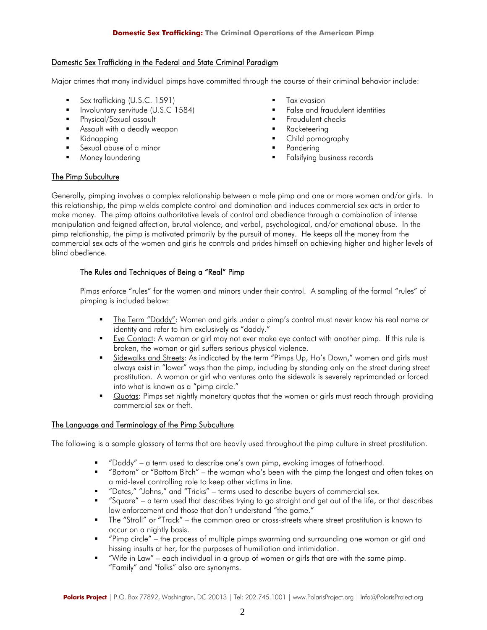## Domestic Sex Trafficking in the Federal and State Criminal Paradigm

Major crimes that many individual pimps have committed through the course of their criminal behavior include:

- Sex trafficking (U.S.C. 1591)
- Involuntary servitude (U.S.C 1584)
- **Physical/Sexual assault**
- Assault with a deadly weapon
- Kidnapping
- Sexual abuse of a minor
- Money laundering
- **Tax evasion**
- False and fraudulent identities
- Fraudulent checks
- Racketeering
- Child pornography
- Pandering
- Falsifying business records

## The Pimp Subculture

Generally, pimping involves a complex relationship between a male pimp and one or more women and/or girls. In this relationship, the pimp wields complete control and domination and induces commercial sex acts in order to make money. The pimp attains authoritative levels of control and obedience through a combination of intense manipulation and feigned affection, brutal violence, and verbal, psychological, and/or emotional abuse. In the pimp relationship, the pimp is motivated primarily by the pursuit of money. He keeps all the money from the commercial sex acts of the women and girls he controls and prides himself on achieving higher and higher levels of blind obedience.

## The Rules and Techniques of Being a "Real" Pimp

Pimps enforce "rules" for the women and minors under their control. A sampling of the formal "rules" of pimping is included below:

- The Term "Daddy": Women and girls under a pimp's control must never know his real name or identity and refer to him exclusively as "daddy."
- Eye Contact: A woman or girl may not ever make eye contact with another pimp. If this rule is broken, the woman or girl suffers serious physical violence.
- Sidewalks and Streets: As indicated by the term "Pimps Up, Ho's Down," women and girls must always exist in "lower" ways than the pimp, including by standing only on the street during street prostitution. A woman or girl who ventures onto the sidewalk is severely reprimanded or forced into what is known as a "pimp circle."
- Quotas: Pimps set nightly monetary quotas that the women or girls must reach through providing commercial sex or theft.

## The Language and Terminology of the Pimp Subculture

The following is a sample glossary of terms that are heavily used throughout the pimp culture in street prostitution.

- "Daddy" a term used to describe one's own pimp, evoking images of fatherhood.
- "Bottom" or "Bottom Bitch" the woman who's been with the pimp the longest and often takes on a mid-level controlling role to keep other victims in line.
- "Dates," "Johns," and "Tricks" terms used to describe buyers of commercial sex.
- "Square" a term used that describes trying to go straight and get out of the life, or that describes law enforcement and those that don't understand "the game."
- The "Stroll" or "Track" the common area or cross-streets where street prostitution is known to occur on a nightly basis.
- "Pimp circle" the process of multiple pimps swarming and surrounding one woman or girl and hissing insults at her, for the purposes of humiliation and intimidation.
- "Wife in Law" each individual in a group of women or girls that are with the same pimp. "Family" and "folks" also are synonyms.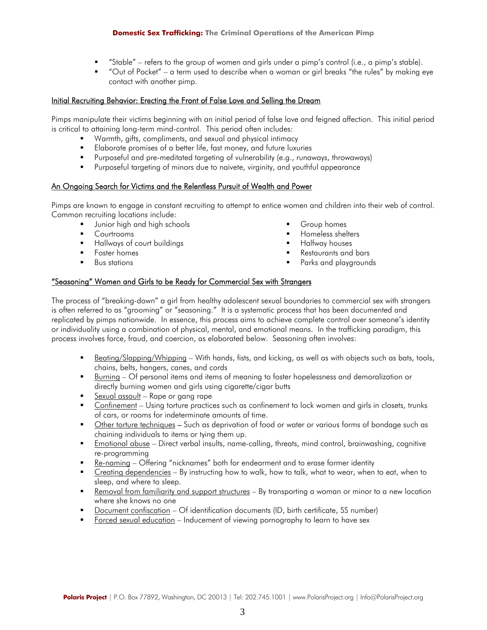#### **Domestic Sex Trafficking: The Criminal Operations of the American Pimp**

- "Stable" refers to the group of women and girls under a pimp's control (i.e., a pimp's stable).
- "Out of Pocket" a term used to describe when a woman or girl breaks "the rules" by making eye contact with another pimp.

## Initial Recruiting Behavior: Erecting the Front of False Love and Selling the Dream

Pimps manipulate their victims beginning with an initial period of false love and feigned affection. This initial period is critical to attaining long-term mind-control. This period often includes:

- Warmth, gifts, compliments, and sexual and physical intimacy
- **Elaborate promises of a better life, fast money, and future luxuries**
- Purposeful and pre-meditated targeting of vulnerability (e.g., runaways, throwaways)
- Purposeful targeting of minors due to naivete, virginity, and youthful appearance

#### An Ongoing Search for Victims and the Relentless Pursuit of Wealth and Power

Pimps are known to engage in constant recruiting to attempt to entice women and children into their web of control. Common recruiting locations include:

- Junior high and high schools
- Courtrooms
- **Hallways of court buildings**
- Foster homes
- **Bus stations**
- Group homes
- Homeless shelters
- Halfway houses
- Restaurants and bars
- Parks and playgrounds

#### "Seasoning" Women and Girls to be Ready for Commercial Sex with Strangers

The process of "breaking-down" a girl from healthy adolescent sexual boundaries to commercial sex with strangers is often referred to as "grooming" or "seasoning." It is a systematic process that has been documented and replicated by pimps nationwide. In essence, this process aims to achieve complete control over someone's identity or individuality using a combination of physical, mental, and emotional means. In the trafficking paradigm, this process involves force, fraud, and coercion, as elaborated below. Seasoning often involves:

- Beating/Slapping/Whipping With hands, fists, and kicking, as well as with objects such as bats, tools, chains, belts, hangers, canes, and cords
- Burning Of personal items and items of meaning to foster hopelessness and demoralization or directly burning women and girls using cigarette/cigar butts
- Sexual assault Rape or gang rape
- Confinement Using torture practices such as confinement to lock women and girls in closets, trunks of cars, or rooms for indeterminate amounts of time.
- Other torture techniques Such as deprivation of food or water or various forms of bondage such as chaining individuals to items or tying them up.
- Emotional abuse Direct verbal insults, name-calling, threats, mind control, brainwashing, cognitive re-programming
- Re-naming Offering "nicknames" both for endearment and to erase former identity
- **Example 1** Creating dependencies By instructing how to walk, how to talk, what to wear, when to eat, when to sleep, and where to sleep.
- Removal from familiarity and support structures By transporting a woman or minor to a new location where she knows no one
- Document confiscation Of identification documents (ID, birth certificate, SS number)
- Forced sexual education Inducement of viewing pornography to learn to have sex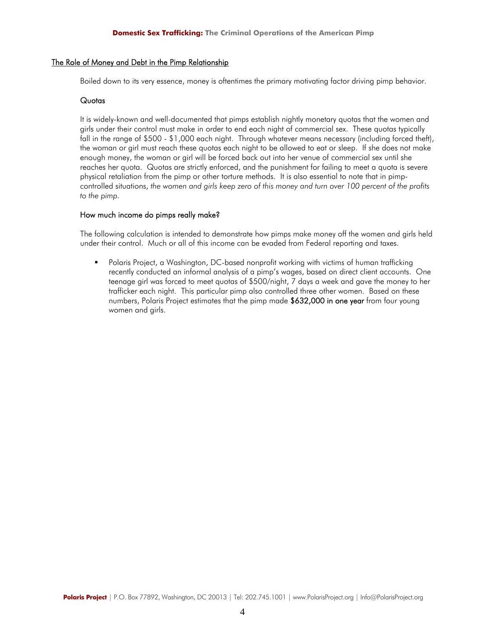#### The Role of Money and Debt in the Pimp Relationship

Boiled down to its very essence, money is oftentimes the primary motivating factor driving pimp behavior.

## **Quotas**

It is widely-known and well-documented that pimps establish nightly monetary quotas that the women and girls under their control must make in order to end each night of commercial sex. These quotas typically fall in the range of \$500 - \$1,000 each night. Through whatever means necessary (including forced theft), the woman or girl must reach these quotas each night to be allowed to eat or sleep. If she does not make enough money, the woman or girl will be forced back out into her venue of commercial sex until she reaches her quota. Quotas are strictly enforced, and the punishment for failing to meet a quota is severe physical retaliation from the pimp or other torture methods. It is also essential to note that in pimpcontrolled situations, *the women and girls keep zero of this money and turn over 100 percent of the profits to the pimp.* 

## How much income do pimps really make?

The following calculation is intended to demonstrate how pimps make money off the women and girls held under their control. Much or all of this income can be evaded from Federal reporting and taxes.

 Polaris Project, a Washington, DC-based nonprofit working with victims of human trafficking recently conducted an informal analysis of a pimp's wages, based on direct client accounts. One teenage girl was forced to meet quotas of \$500/night, 7 days a week and gave the money to her trafficker each night. This particular pimp also controlled three other women. Based on these numbers, Polaris Project estimates that the pimp made \$632,000 in one year from four young women and girls.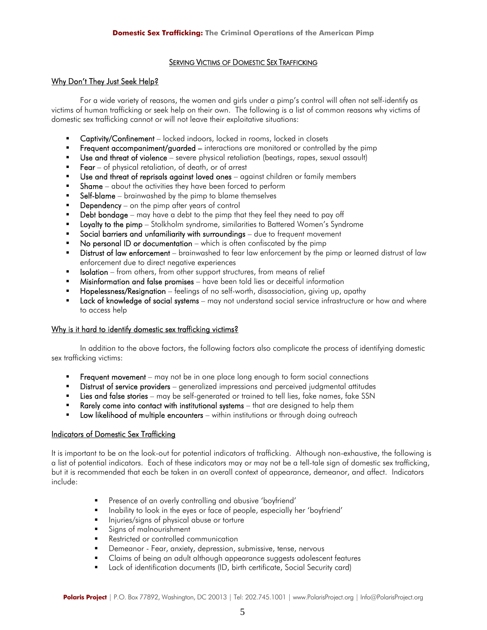## SERVING VICTIMS OF DOMESTIC SEX TRAFFICKING

## Why Don't They Just Seek Help?

 For a wide variety of reasons, the women and girls under a pimp's control will often not self-identify as victims of human trafficking or seek help on their own. The following is a list of common reasons why victims of domestic sex trafficking cannot or will not leave their exploitative situations:

- Captivity/Confinement locked indoors, locked in rooms, locked in closets
- **Frequent accompaniment/guarded** interactions are monitored or controlled by the pimp
- Use and threat of violence severe physical retaliation (beatings, rapes, sexual assault)
- Fear of physical retaliation, of death, or of arrest
- Use and threat of reprisals against loved ones against children or family members
- $\blacksquare$  Shame about the activities they have been forced to perform
- Self-blame brainwashed by the pimp to blame themselves
- Dependency on the pimp after years of control
- Debt bondage may have a debt to the pimp that they feel they need to pay off
- **Loyalty to the pimp** Stolkholm syndrome, similarities to Battered Women's Syndrome
- Social barriers and unfamiliarity with surroundings due to frequent movement
- No personal ID or documentation which is often confiscated by the pimp
- **EXECT** Distrust of law enforcement brainwashed to fear law enforcement by the pimp or learned distrust of law enforcement due to direct negative experiences
- Isolation from others, from other support structures, from means of relief
- Misinformation and false promises have been told lies or deceitful information
- Hopelessness/Resignation feelings of no self-worth, disassociation, giving up, apathy
- **Lack of knowledge of social systems** may not understand social service infrastructure or how and where to access help

## Why is it hard to identify domestic sex trafficking victims?

 In addition to the above factors, the following factors also complicate the process of identifying domestic sex trafficking victims:

- **Frequent movement** may not be in one place long enough to form social connections
- Distrust of service providers generalized impressions and perceived judgmental attitudes
- **Example 3 Exercise Stories** may be self-generated or trained to tell lies, fake names, fake SSN
- Rarely come into contact with institutional systems that are designed to help them
- Low likelihood of multiple encounters within institutions or through doing outreach

# Indicators of Domestic Sex Trafficking

It is important to be on the look-out for potential indicators of trafficking. Although non-exhaustive, the following is a list of potential indicators. Each of these indicators may or may not be a tell-tale sign of domestic sex trafficking, but it is recommended that each be taken in an overall context of appearance, demeanor, and affect. Indicators include:

- **Presence of an overly controlling and abusive 'boyfriend'**
- **IDED** Inability to look in the eyes or face of people, especially her 'boyfriend'
- Injuries/signs of physical abuse or torture
- Signs of malnourishment
- Restricted or controlled communication
- Demeanor Fear, anxiety, depression, submissive, tense, nervous
- Claims of being an adult although appearance suggests adolescent features
- **EXECT** Lack of identification documents (ID, birth certificate, Social Security card)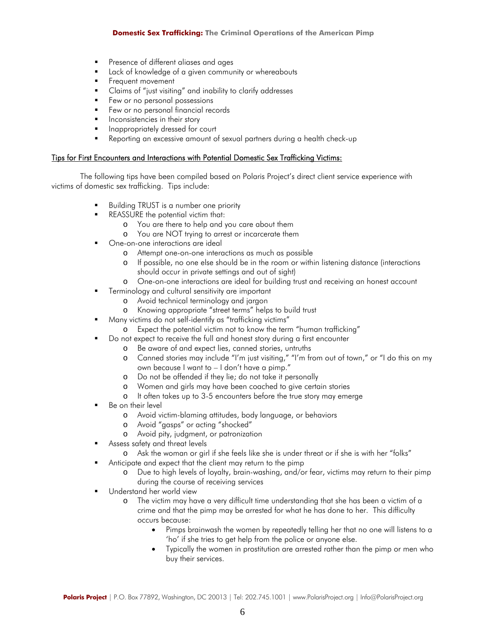#### **Domestic Sex Trafficking: The Criminal Operations of the American Pimp**

- Presence of different aliases and ages
- Lack of knowledge of a given community or whereabouts
- Frequent movement
- Claims of "just visiting" and inability to clarify addresses
- Few or no personal possessions
- Few or no personal financial records
- Inconsistencies in their story
- Inappropriately dressed for court
- Reporting an excessive amount of sexual partners during a health check-up

#### Tips for First Encounters and Interactions with Potential Domestic Sex Trafficking Victims:

 The following tips have been compiled based on Polaris Project's direct client service experience with victims of domestic sex trafficking. Tips include:

- Building TRUST is a number one priority
- REASSURE the potential victim that:
	- o You are there to help and you care about them
	- o You are NOT trying to arrest or incarcerate them
- One-on-one interactions are ideal
	- o Attempt one-on-one interactions as much as possible
	- o If possible, no one else should be in the room or within listening distance (interactions should occur in private settings and out of sight)
	- o One-on-one interactions are ideal for building trust and receiving an honest account
- Terminology and cultural sensitivity are important
	- o Avoid technical terminology and jargon
	- o Knowing appropriate "street terms" helps to build trust
- Many victims do not self-identify as "trafficking victims"
	- o Expect the potential victim not to know the term "human trafficking"
	- Do not expect to receive the full and honest story during a first encounter
		- o Be aware of and expect lies, canned stories, untruths
		- o Canned stories may include "I'm just visiting," "I'm from out of town," or "I do this on my own because I want to – I don't have a pimp."
		- o Do not be offended if they lie; do not take it personally
		- o Women and girls may have been coached to give certain stories
		- o It often takes up to 3-5 encounters before the true story may emerge
- Be on their level
	- o Avoid victim-blaming attitudes, body language, or behaviors
	- o Avoid "gasps" or acting "shocked"
	- o Avoid pity, judgment, or patronization
- Assess safety and threat levels
	- o Ask the woman or girl if she feels like she is under threat or if she is with her "folks"
- Anticipate and expect that the client may return to the pimp
	- o Due to high levels of loyalty, brain-washing, and/or fear, victims may return to their pimp during the course of receiving services
- Understand her world view
	- o The victim may have a very difficult time understanding that she has been a victim of a crime and that the pimp may be arrested for what he has done to her. This difficulty occurs because:
		- Pimps brainwash the women by repeatedly telling her that no one will listens to a 'ho' if she tries to get help from the police or anyone else.
		- Typically the women in prostitution are arrested rather than the pimp or men who buy their services.